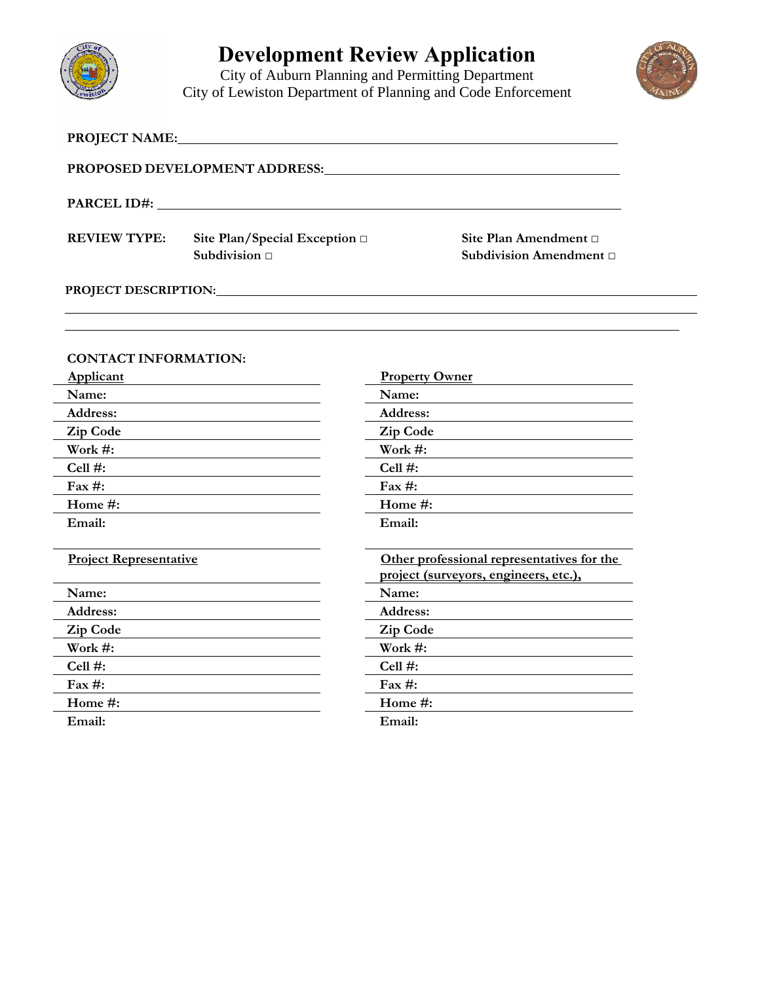

 $\overline{a}$ 

# **Development Review Application**

City of Auburn Planning and Permitting Department City of Lewiston Department of Planning and Code Enforcement



|                               |                                                                                                                                                                                                                                | PROPOSED DEVELOPMENT ADDRESS: NATIONAL PROPOSED DEVELOPMENT ADDRESS:                |  |  |
|-------------------------------|--------------------------------------------------------------------------------------------------------------------------------------------------------------------------------------------------------------------------------|-------------------------------------------------------------------------------------|--|--|
|                               |                                                                                                                                                                                                                                |                                                                                     |  |  |
| <b>REVIEW TYPE:</b>           | Site Plan/Special Exception □<br>Subdivision $\Box$                                                                                                                                                                            | Site Plan Amendment □<br>Subdivision Amendment □                                    |  |  |
|                               | PROJECT DESCRIPTION: North and the contract of the contract of the contract of the contract of the contract of the contract of the contract of the contract of the contract of the contract of the contract of the contract of |                                                                                     |  |  |
|                               |                                                                                                                                                                                                                                |                                                                                     |  |  |
| <b>CONTACT INFORMATION:</b>   |                                                                                                                                                                                                                                |                                                                                     |  |  |
| <b>Applicant</b>              |                                                                                                                                                                                                                                | <b>Property Owner</b>                                                               |  |  |
| Name:                         | <u> 1980 - Jan Stein Stein Stein Stein Stein Stein Stein Stein Stein Stein Stein Stein Stein Stein Stein Stein S</u>                                                                                                           | Name:                                                                               |  |  |
| Address:                      |                                                                                                                                                                                                                                | <b>Address:</b>                                                                     |  |  |
| Zip Code                      |                                                                                                                                                                                                                                | <b>Zip Code</b>                                                                     |  |  |
| Work #:                       |                                                                                                                                                                                                                                | Work $#$ :                                                                          |  |  |
| Cell $#$ :                    |                                                                                                                                                                                                                                | $Cell$ #:                                                                           |  |  |
| Fax #:                        |                                                                                                                                                                                                                                | Fax $#$ :                                                                           |  |  |
| Home #:                       |                                                                                                                                                                                                                                | Home #:                                                                             |  |  |
| Email:                        |                                                                                                                                                                                                                                | Email:                                                                              |  |  |
| <b>Project Representative</b> |                                                                                                                                                                                                                                | Other professional representatives for the<br>project (surveyors, engineers, etc.). |  |  |
| Name:                         |                                                                                                                                                                                                                                | Name:                                                                               |  |  |

**Address: Address: Zip Code Zip Code Work #: Work #: Cell #: Cell #:**  Fax #: Fax **#:** Fax **#:** Fax **#:** Fax **#:** Fax **#:** Fax **#:** Fax **#:** Fax **#:** Fax **#:** Fax **#:** Fax **#:** Fax **#:** Fax **#:** Fax **#:** Fax **#:** Fax **#:** Fax **#:** Fax **#:** Fax **#:** Fax **#:** Fax **#:** Fax **#:** Fax **#:** Fax **#: Home #: Home #: Email: Email:**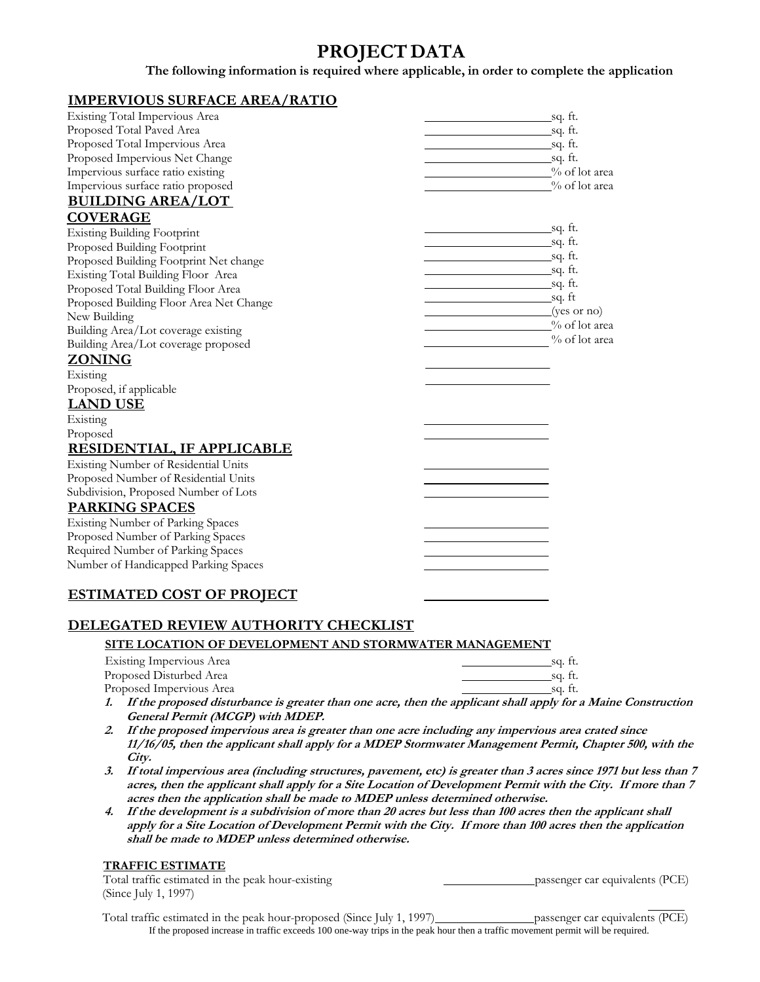# **PROJECT DATA**

**The following information is required where applicable, in order to complete the application**

### <sup>U</sup>**IMPERVIOUS SURFACE AREA/RATIO**

| Existing Total Impervious Area          |                            | sq. ft.       |
|-----------------------------------------|----------------------------|---------------|
| Proposed Total Paved Area               |                            |               |
| Proposed Total Impervious Area          |                            |               |
| Proposed Impervious Net Change          | <u>sq. ft.</u>             |               |
| Impervious surface ratio existing       | <sup>0</sup> % of lot area |               |
| Impervious surface ratio proposed       |                            | % of lot area |
| <b>BUILDING AREA/LOT</b>                |                            |               |
| <b>COVERAGE</b>                         |                            |               |
| <b>Existing Building Footprint</b>      |                            |               |
| Proposed Building Footprint             |                            |               |
| Proposed Building Footprint Net change  |                            |               |
| Existing Total Building Floor Area      |                            |               |
| Proposed Total Building Floor Area      | <u>sq. ft.</u>             |               |
| Proposed Building Floor Area Net Change | $sq.$ ft                   |               |
| New Building                            | $(yes \text{ or } no)$     |               |
| Building Area/Lot coverage existing     |                            | % of lot area |
| Building Area/Lot coverage proposed     |                            | % of lot area |
| <b>ZONING</b>                           |                            |               |
| Existing                                |                            |               |
| Proposed, if applicable                 |                            |               |
| <b>LAND USE</b>                         |                            |               |
| Existing                                |                            |               |
| Proposed                                |                            |               |
| <b>RESIDENTIAL, IF APPLICABLE</b>       |                            |               |
| Existing Number of Residential Units    |                            |               |
| Proposed Number of Residential Units    |                            |               |
| Subdivision, Proposed Number of Lots    |                            |               |
| <b>PARKING SPACES</b>                   |                            |               |
| Existing Number of Parking Spaces       |                            |               |
| Proposed Number of Parking Spaces       |                            |               |
| Required Number of Parking Spaces       |                            |               |
| Number of Handicapped Parking Spaces    |                            |               |
|                                         |                            |               |
| <b>ESTIMATED COST OF PROJECT</b>        |                            |               |

### <sup>U</sup>**DELEGATED REVIEW AUTHORITY CHECKLIST**

### <sup>U</sup>**SITE LOCATION OF DEVELOPMENT AND STORMWATER MANAGEMENT**

| Existing Impervious Area                                                                               | sa. tt. |
|--------------------------------------------------------------------------------------------------------|---------|
| Proposed Disturbed Area                                                                                | sa. tt. |
| Proposed Impervious Area                                                                               | sa. tt. |
| 1. If the numerical districts and in constant have seen a seen than the seculiar at shall see the face |         |

- **1. If the proposed disturbance is greater than one acre, then the applicant shall apply for a Maine Construction General Permit (MCGP) with MDEP.**
- **2. If the proposed impervious area is greater than one acre including any impervious area crated since 11/16/05, then the applicant shall apply for a MDEP Stormwater Management Permit, Chapter 500, with the City.**
- **3. If total impervious area (including structures, pavement, etc) is greater than 3 acres since 1971 but less than 7 acres, then the applicant shall apply for a Site Location of Development Permit with the City. If more than 7 acres then the application shall be made to MDEP unless determined otherwise.**
- **4. If the development is a subdivision of more than 20 acres but less than 100 acres then the applicant shall apply for a Site Location of Development Permit with the City. If more than 100 acres then the application shall be made to MDEP unless determined otherwise.**

### <sup>U</sup>**TRAFFIC ESTIMATE**

| Total traffic estimated in the peak hour-existing | passenger car equivalents (PCE) |
|---------------------------------------------------|---------------------------------|
| (Since July 1, 1997)                              |                                 |

Total traffic estimated in the peak hour-proposed (Since July 1, 1997) passenger car equivalents (PCE) If the proposed increase in traffic exceeds 100 one-way trips in the peak hour then a traffic movement permit will be required.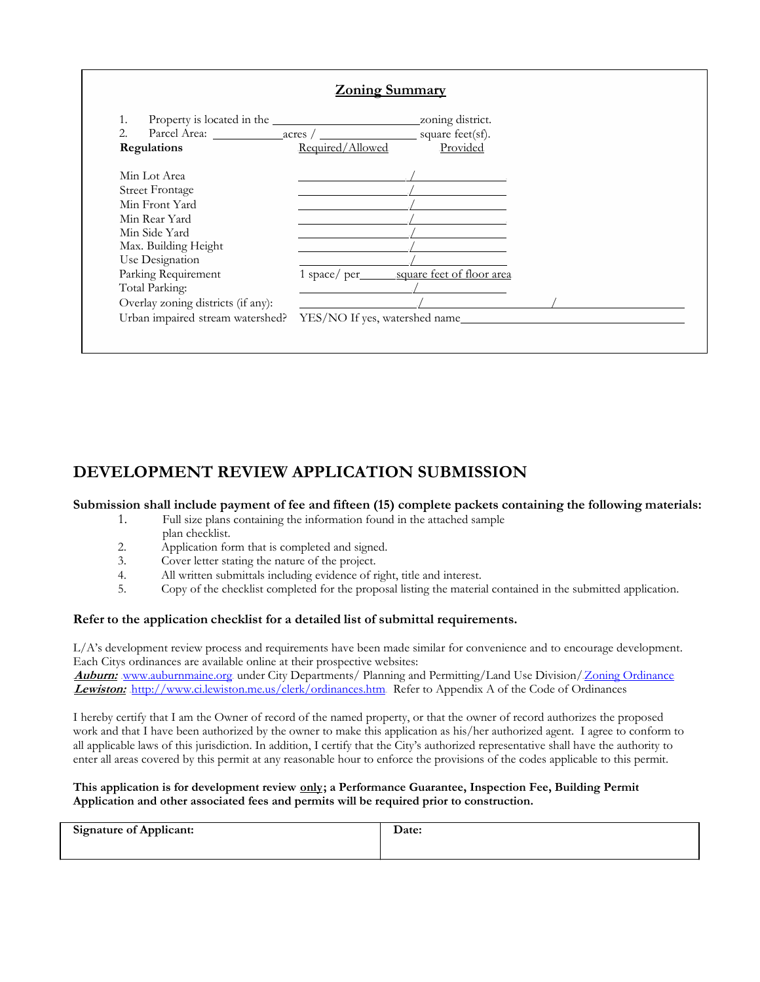

# **DEVELOPMENT REVIEW APPLICATION SUBMISSION**

### **Submission shall include payment of fee and fifteen (15) complete packets containing the following materials:**

- 1. Full size plans containing the information found in the attached sample plan checklist.
- 2. Application form that is completed and signed.
- 3. Cover letter stating the nature of the project.
- 4. All written submittals including evidence of right, title and interest.
- 5. Copy of the checklist completed for the proposal listing the material contained in the submitted application.

### **Refer to the application checklist for a detailed list of submittal requirements.**

L/A's development review process and requirements have been made similar for convenience and to encourage development. Each Citys ordinances are available online at their prospective websites: Auburn: www.auburnmaine.org. under City Departments/ Planning and Permitting/Land Use Division/Zoning Ordinance

Lewiston: http://www.ci.lewiston.me.us/clerk/ordinances.htm. Refer to Appendix A of the Code of Ordinances

I hereby certify that I am the Owner of record of the named property, or that the owner of record authorizes the proposed work and that I have been authorized by the owner to make this application as his/her authorized agent. I agree to conform to all applicable laws of this jurisdiction. In addition, I certify that the City's authorized representative shall have the authority to enter all areas covered by this permit at any reasonable hour to enforce the provisions of the codes applicable to this permit.

#### This application is for development review **only**; a Performance Guarantee, Inspection Fee, Building Permit **Application and other associated fees and permits will be required prior to construction.**

| <b>Signature of Applicant:</b> | <b>Date:</b> |
|--------------------------------|--------------|
|                                |              |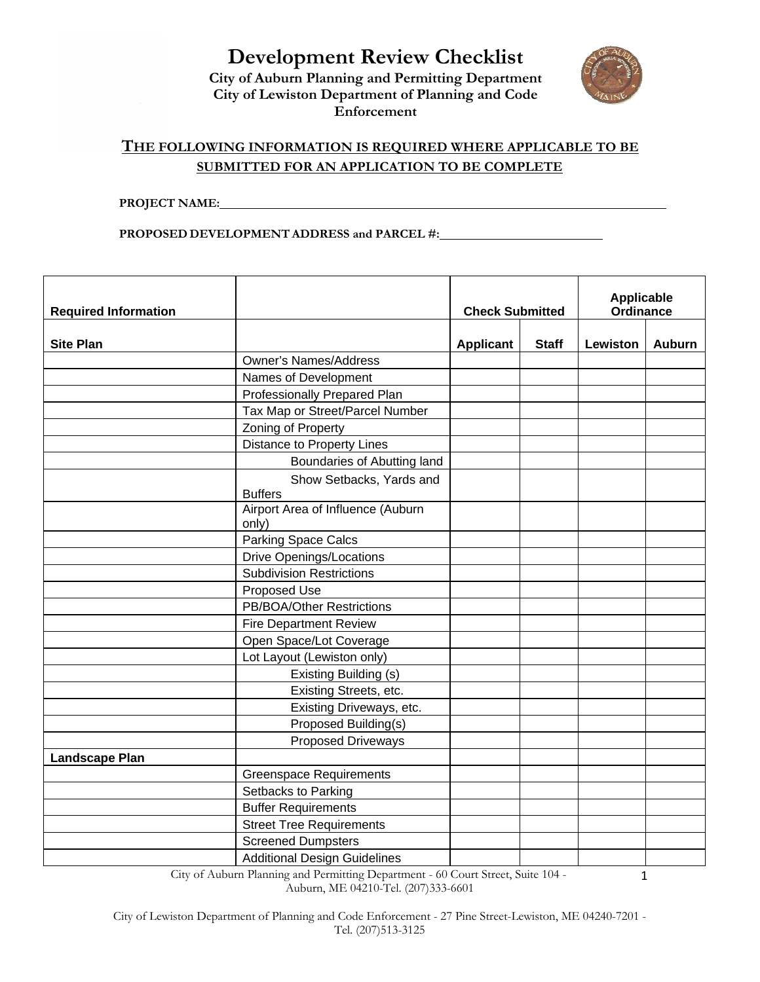**Development Review Checklist City of Auburn Planning and Permitting Department City of Lewiston Department of Planning and Code Enforcement**



1

## <sup>U</sup>**THE FOLLOWING INFORMATION IS REQUIRED WHERE APPLICABLE TO BE SUBMITTED FOR AN APPLICATION TO BE COMPLETE**

**PROJECT NAME:** 

**PROPOSED DEVELOPMENT ADDRESS and PARCEL #:** 

| <b>Required Information</b> |                                            | <b>Check Submitted</b> |              | <b>Applicable</b><br>Ordinance |               |
|-----------------------------|--------------------------------------------|------------------------|--------------|--------------------------------|---------------|
| <b>Site Plan</b>            |                                            | <b>Applicant</b>       | <b>Staff</b> | Lewiston                       | <b>Auburn</b> |
|                             | <b>Owner's Names/Address</b>               |                        |              |                                |               |
|                             | Names of Development                       |                        |              |                                |               |
|                             | Professionally Prepared Plan               |                        |              |                                |               |
|                             | Tax Map or Street/Parcel Number            |                        |              |                                |               |
|                             | Zoning of Property                         |                        |              |                                |               |
|                             | <b>Distance to Property Lines</b>          |                        |              |                                |               |
|                             | Boundaries of Abutting land                |                        |              |                                |               |
|                             | Show Setbacks, Yards and                   |                        |              |                                |               |
|                             | <b>Buffers</b>                             |                        |              |                                |               |
|                             | Airport Area of Influence (Auburn<br>only) |                        |              |                                |               |
|                             | Parking Space Calcs                        |                        |              |                                |               |
|                             | <b>Drive Openings/Locations</b>            |                        |              |                                |               |
|                             | <b>Subdivision Restrictions</b>            |                        |              |                                |               |
|                             | Proposed Use                               |                        |              |                                |               |
|                             | PB/BOA/Other Restrictions                  |                        |              |                                |               |
|                             | <b>Fire Department Review</b>              |                        |              |                                |               |
|                             | Open Space/Lot Coverage                    |                        |              |                                |               |
|                             | Lot Layout (Lewiston only)                 |                        |              |                                |               |
|                             | Existing Building (s)                      |                        |              |                                |               |
|                             | Existing Streets, etc.                     |                        |              |                                |               |
|                             | Existing Driveways, etc.                   |                        |              |                                |               |
|                             | Proposed Building(s)                       |                        |              |                                |               |
|                             | Proposed Driveways                         |                        |              |                                |               |
| <b>Landscape Plan</b>       |                                            |                        |              |                                |               |
|                             | <b>Greenspace Requirements</b>             |                        |              |                                |               |
|                             | Setbacks to Parking                        |                        |              |                                |               |
|                             | <b>Buffer Requirements</b>                 |                        |              |                                |               |
|                             | <b>Street Tree Requirements</b>            |                        |              |                                |               |
|                             | <b>Screened Dumpsters</b>                  |                        |              |                                |               |
|                             | <b>Additional Design Guidelines</b>        |                        |              |                                |               |

City of Auburn Planning and Permitting Department - 60 Court Street, Suite 104 - Auburn, ME 04210-Tel. (207)333-6601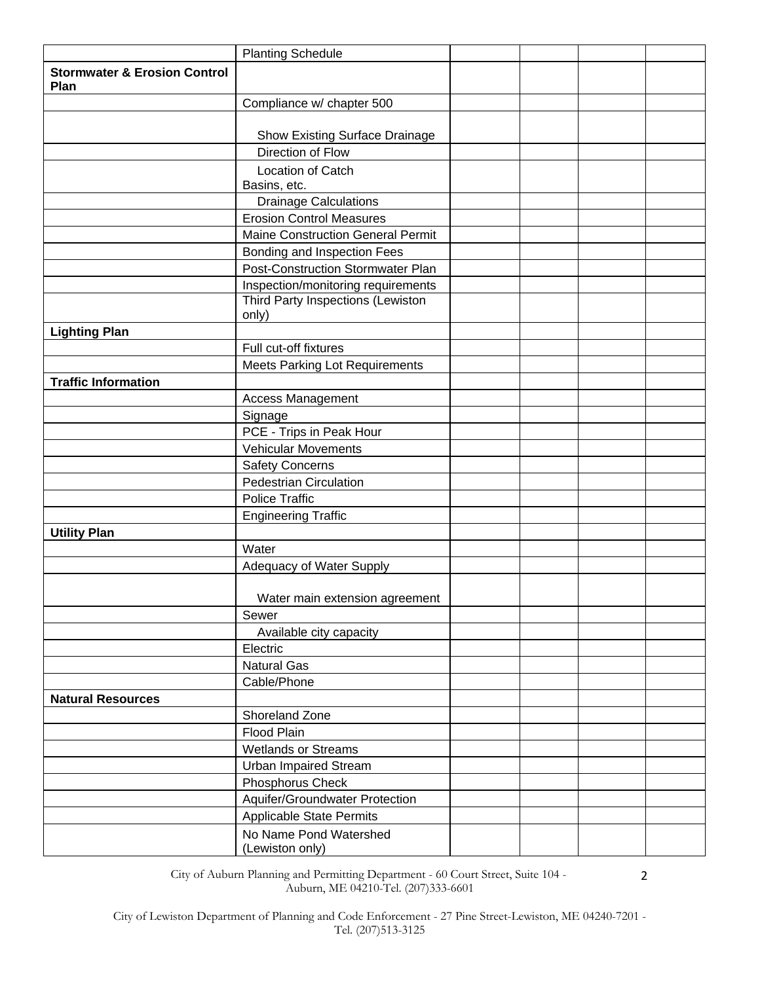|                                                 | <b>Planting Schedule</b>                  |  |  |
|-------------------------------------------------|-------------------------------------------|--|--|
| <b>Stormwater &amp; Erosion Control</b><br>Plan |                                           |  |  |
|                                                 | Compliance w/ chapter 500                 |  |  |
|                                                 | Show Existing Surface Drainage            |  |  |
|                                                 | Direction of Flow                         |  |  |
|                                                 |                                           |  |  |
|                                                 | <b>Location of Catch</b><br>Basins, etc.  |  |  |
|                                                 | <b>Drainage Calculations</b>              |  |  |
|                                                 | <b>Erosion Control Measures</b>           |  |  |
|                                                 | Maine Construction General Permit         |  |  |
|                                                 | Bonding and Inspection Fees               |  |  |
|                                                 | <b>Post-Construction Stormwater Plan</b>  |  |  |
|                                                 | Inspection/monitoring requirements        |  |  |
|                                                 | Third Party Inspections (Lewiston         |  |  |
|                                                 | only)                                     |  |  |
| <b>Lighting Plan</b>                            |                                           |  |  |
|                                                 | Full cut-off fixtures                     |  |  |
|                                                 | <b>Meets Parking Lot Requirements</b>     |  |  |
| <b>Traffic Information</b>                      |                                           |  |  |
|                                                 | Access Management                         |  |  |
|                                                 | Signage                                   |  |  |
|                                                 | PCE - Trips in Peak Hour                  |  |  |
|                                                 | <b>Vehicular Movements</b>                |  |  |
|                                                 | <b>Safety Concerns</b>                    |  |  |
|                                                 | <b>Pedestrian Circulation</b>             |  |  |
|                                                 | <b>Police Traffic</b>                     |  |  |
|                                                 | <b>Engineering Traffic</b>                |  |  |
| <b>Utility Plan</b>                             |                                           |  |  |
|                                                 | Water                                     |  |  |
|                                                 | Adequacy of Water Supply                  |  |  |
|                                                 | Water main extension agreement            |  |  |
|                                                 | Sewer                                     |  |  |
|                                                 | Available city capacity                   |  |  |
|                                                 | Electric                                  |  |  |
|                                                 | <b>Natural Gas</b>                        |  |  |
|                                                 | Cable/Phone                               |  |  |
| <b>Natural Resources</b>                        |                                           |  |  |
|                                                 | Shoreland Zone                            |  |  |
|                                                 | Flood Plain                               |  |  |
|                                                 | <b>Wetlands or Streams</b>                |  |  |
|                                                 | <b>Urban Impaired Stream</b>              |  |  |
|                                                 | Phosphorus Check                          |  |  |
|                                                 | Aquifer/Groundwater Protection            |  |  |
|                                                 | <b>Applicable State Permits</b>           |  |  |
|                                                 | No Name Pond Watershed<br>(Lewiston only) |  |  |

City of Auburn Planning and Permitting Department - 60 Court Street, Suite 104 - Auburn, ME 04210-Tel. (207)333-6601

2